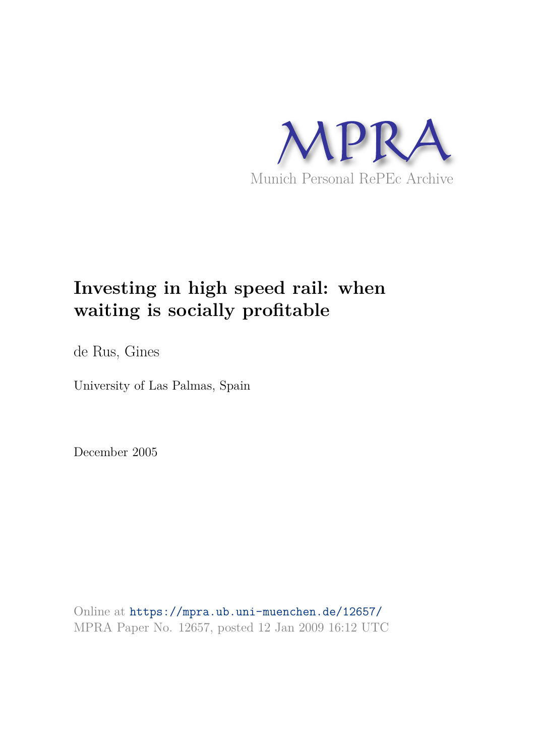

# **Investing in high speed rail: when waiting is socially profitable**

de Rus, Gines

University of Las Palmas, Spain

December 2005

Online at https://mpra.ub.uni-muenchen.de/12657/ MPRA Paper No. 12657, posted 12 Jan 2009 16:12 UTC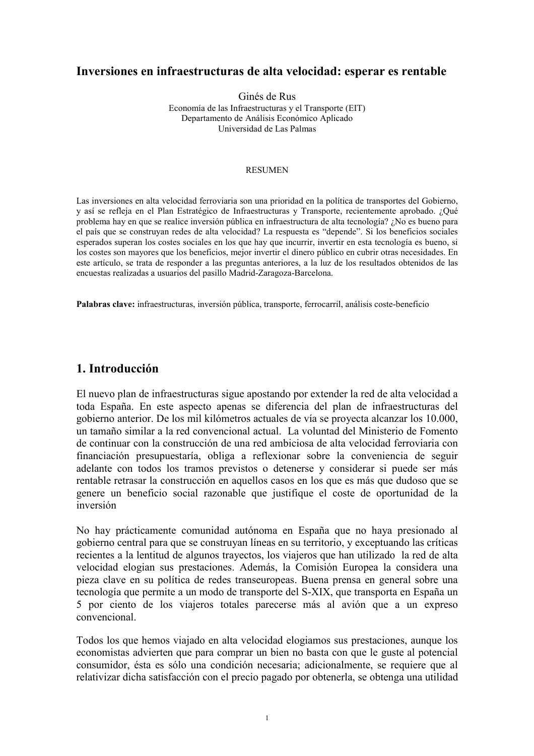## Inversiones en infraestructuras de alta velocidad: esperar es rentable

Ginés de Rus Economía de las Infraestructuras y el Transporte (EIT) Departamento de Análisis Económico Aplicado Universidad de Las Palmas

#### **RESUMEN**

Las inversiones en alta velocidad ferroviaria son una prioridad en la política de transportes del Gobierno, y así se refleja en el Plan Estratégico de Infraestructuras y Transporte, recientemente aprobado. ¿Qué problema hay en que se realice inversión pública en infraestructura de alta tecnología? ¿No es bueno para el país que se construyan redes de alta velocidad? La respuesta es "depende". Si los beneficios sociales esperados superan los costes sociales en los que hay que incurrir, invertir en esta tecnología es bueno, si los costes son mayores que los beneficios, mejor invertir el dinero público en cubrir otras necesidades. En este artículo, se trata de responder a las preguntas anteriores, a la luz de los resultados obtenidos de las encuestas realizadas a usuarios del pasillo Madrid-Zaragoza-Barcelona.

Palabras clave: infraestructuras, inversión pública, transporte, ferrocarril, análisis coste-beneficio

## 1. Introducción

El nuevo plan de infraestructuras sigue apostando por extender la red de alta velocidad a toda España. En este aspecto apenas se diferencia del plan de infraestructuras del gobierno anterior. De los mil kilómetros actuales de vía se proyecta alcanzar los 10.000, un tamaño similar a la red convencional actual. La voluntad del Ministerio de Fomento de continuar con la construcción de una red ambiciosa de alta velocidad ferroviaria con financiación presupuestaría, obliga a reflexionar sobre la conveniencia de seguir adelante con todos los tramos previstos o detenerse y considerar si puede ser más rentable retrasar la construcción en aquellos casos en los que es más que dudoso que se genere un beneficio social razonable que justifique el coste de oportunidad de la inversión

No hay prácticamente comunidad autónoma en España que no haya presionado al gobierno central para que se construyan líneas en su territorio, y exceptuando las críticas recientes a la lentitud de algunos trayectos, los viajeros que han utilizado la red de alta velocidad elogian sus prestaciones. Además, la Comisión Europea la considera una pieza clave en su política de redes transeuropeas. Buena prensa en general sobre una tecnología que permite a un modo de transporte del S-XIX, que transporta en España un 5 por ciento de los viajeros totales parecerse más al avión que a un expreso convencional

Todos los que hemos viajado en alta velocidad elogiamos sus prestaciones, aunque los economistas advierten que para comprar un bien no basta con que le guste al potencial consumidor, ésta es sólo una condición necesaria; adicionalmente, se requiere que al relativizar dicha satisfacción con el precio pagado por obtenerla, se obtenga una utilidad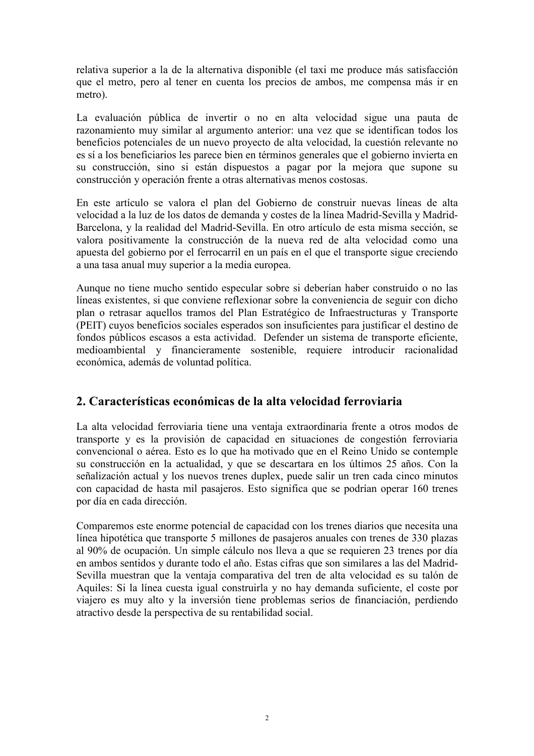relativa superior a la de la alternativa disponible (el taxi me produce más satisfacción que el metro, pero al tener en cuenta los precios de ambos, me compensa más ir en metro).

La evaluación pública de invertir o no en alta velocidad sigue una pauta de razonamiento muy similar al argumento anterior: una vez que se identifican todos los beneficios potenciales de un nuevo proyecto de alta velocidad, la cuestión relevante no es sí a los beneficiarios les parece bien en términos generales que el gobierno invierta en su construcción, sino si están dispuestos a pagar por la mejora que supone su construcción y operación frente a otras alternativas menos costosas.

En este artículo se valora el plan del Gobierno de construir nuevas líneas de alta velocidad a la luz de los datos de demanda y costes de la línea Madrid-Sevilla y Madrid-Barcelona, y la realidad del Madrid-Sevilla. En otro artículo de esta misma sección, se valora positivamente la construcción de la nueva red de alta velocidad como una apuesta del gobierno por el ferrocarril en un país en el que el transporte sigue creciendo a una tasa anual muy superior a la media europea.

Aunque no tiene mucho sentido especular sobre si deberían haber construido o no las líneas existentes, si que conviene reflexionar sobre la conveniencia de seguir con dicho plan o retrasar aquellos tramos del Plan Estratégico de Infraestructuras y Transporte (PEIT) cuyos beneficios sociales esperados son insuficientes para justificar el destino de fondos públicos escasos a esta actividad. Defender un sistema de transporte eficiente, medioambiental y financieramente sostenible, requiere introducir racionalidad económica, además de voluntad política.

# 2. Características económicas de la alta velocidad ferroviaria

La alta velocidad ferroviaria tiene una ventaja extraordinaria frente a otros modos de transporte y es la provisión de capacidad en situaciones de congestión ferroviaria convencional o aérea. Esto es lo que ha motivado que en el Reino Unido se contemple su construcción en la actualidad, y que se descartara en los últimos 25 años. Con la señalización actual y los nuevos trenes duplex, puede salir un tren cada cinco minutos con capacidad de hasta mil pasajeros. Esto significa que se podrían operar 160 trenes por día en cada dirección.

Comparemos este enorme potencial de capacidad con los trenes diarios que necesita una línea hipotética que transporte 5 millones de pasajeros anuales con trenes de 330 plazas al 90% de ocupación. Un simple cálculo nos lleva a que se requieren 23 trenes por día en ambos sentidos y durante todo el año. Estas cifras que son similares a las del Madrid-Sevilla muestran que la ventaja comparativa del tren de alta velocidad es su talón de Aquiles: Si la línea cuesta igual construirla y no hay demanda suficiente, el coste por viajero es muy alto y la inversión tiene problemas serios de financiación, perdiendo atractivo desde la perspectiva de su rentabilidad social.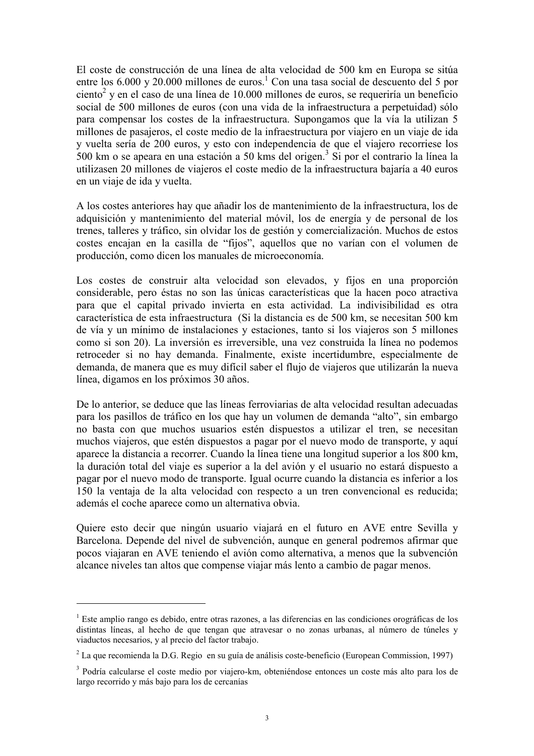El coste de construcción de una línea de alta velocidad de 500 km en Europa se sitúa entre los 6.000 y 20.000 millones de euros.<sup>1</sup> Con una tasa social de descuento del 5 por ciento<sup>2</sup> y en el caso de una línea de 10.000 millones de euros, se requeriría un beneficio social de 500 millones de euros (con una vida de la infraestructura a perpetuidad) sólo para compensar los costes de la infraestructura. Supongamos que la vía la utilizan 5 millones de pasajeros, el coste medio de la infraestructura por viajero en un viaje de ida y vuelta sería de 200 euros, y esto con independencia de que el viajero recorriese los 500 km o se apeara en una estación a 50 kms del origen.<sup>3</sup> Si por el contrario la línea la utilizasen 20 millones de viajeros el coste medio de la infraestructura bajaría a 40 euros en un viaje de ida y vuelta.

A los costes anteriores hay que añadir los de mantenimiento de la infraestructura, los de adquisición y mantenimiento del material móvil, los de energía y de personal de los trenes, talleres y tráfico, sin olvidar los de gestión y comercialización. Muchos de estos costes encajan en la casilla de "fijos", aquellos que no varían con el volumen de producción, como dicen los manuales de microeconomía.

Los costes de construir alta velocidad son elevados, y fijos en una proporción considerable, pero éstas no son las únicas características que la hacen poco atractiva para que el capital privado invierta en esta actividad. La indivisibilidad es otra característica de esta infraestructura (Si la distancia es de 500 km, se necesitan 500 km de vía y un mínimo de instalaciones y estaciones, tanto si los viajeros son 5 millones como si son 20). La inversión es irreversible, una vez construida la línea no podemos retroceder si no hay demanda. Finalmente, existe incertidumbre, especialmente de demanda, de manera que es muy difícil saber el flujo de viajeros que utilizarán la nueva línea, digamos en los próximos 30 años.

De lo anterior, se deduce que las líneas ferroviarias de alta velocidad resultan adecuadas para los pasillos de tráfico en los que hay un volumen de demanda "alto", sin embargo no basta con que muchos usuarios estén dispuestos a utilizar el tren, se necesitan muchos viajeros, que estén dispuestos a pagar por el nuevo modo de transporte, y aquí aparece la distancia a recorrer. Cuando la línea tiene una longitud superior a los 800 km, la duración total del viaje es superior a la del avión y el usuario no estará dispuesto a pagar por el nuevo modo de transporte. Igual ocurre cuando la distancia es inferior a los 150 la ventaja de la alta velocidad con respecto a un tren convencional es reducida; además el coche aparece como un alternativa obvia.

Quiere esto decir que ningún usuario viajará en el futuro en AVE entre Sevilla y Barcelona. Depende del nivel de subvención, aunque en general podremos afirmar que pocos viajaran en AVE teniendo el avión como alternativa, a menos que la subvención alcance niveles tan altos que compense viajar más lento a cambio de pagar menos.

<sup>&</sup>lt;sup>1</sup> Este amplio rango es debido, entre otras razones, a las diferencias en las condiciones orográficas de los distintas líneas, al hecho de que tengan que atravesar o no zonas urbanas, al número de túneles y viaductos necesarios, y al precio del factor trabajo.

 $2^2$  La que recomienda la D.G. Regio en su guía de análisis coste-beneficio (European Commission, 1997)

<sup>&</sup>lt;sup>3</sup> Podría calcularse el coste medio por viajero-km, obteniéndose entonces un coste más alto para los de largo recorrido y más bajo para los de cercanías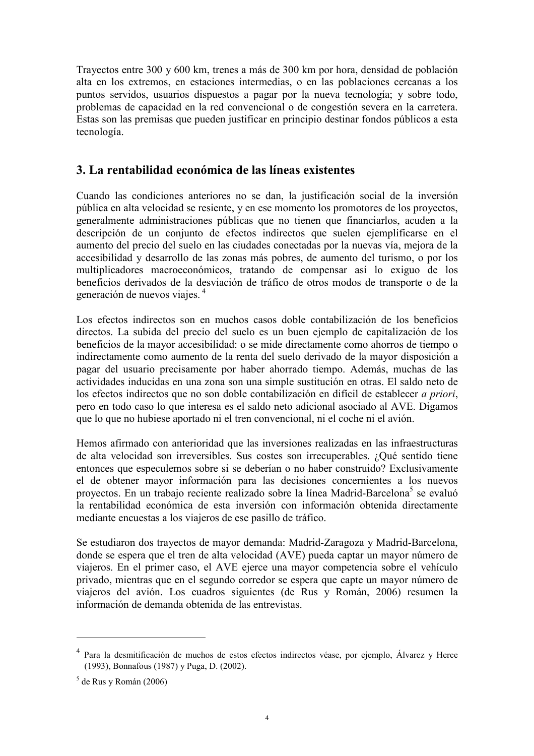Trayectos entre 300 y 600 km, trenes a más de 300 km por hora, densidad de población alta en los extremos, en estaciones intermedias, o en las poblaciones cercanas a los puntos servidos, usuarios dispuestos a pagar por la nueva tecnología; y sobre todo, problemas de capacidad en la red convencional o de congestión severa en la carretera. Estas son las premisas que pueden justificar en principio destinar fondos públicos a esta tecnología.

## 3. La rentabilidad económica de las líneas existentes

Cuando las condiciones anteriores no se dan, la justificación social de la inversión pública en alta velocidad se resiente, y en ese momento los promotores de los proyectos, generalmente administraciones públicas que no tienen que financiarlos, acuden a la descripción de un conjunto de efectos indirectos que suelen ejemplificarse en el aumento del precio del suelo en las ciudades conectadas por la nuevas vía, mejora de la accesibilidad y desarrollo de las zonas más pobres, de aumento del turismo, o por los multiplicadores macroeconómicos, tratando de compensar así lo exiguo de los beneficios derivados de la desviación de tráfico de otros modos de transporte o de la generación de nuevos viajes.<sup>4</sup>

Los efectos indirectos son en muchos casos doble contabilización de los beneficios directos. La subida del precio del suelo es un buen ejemplo de capitalización de los beneficios de la mayor accesibilidad: o se mide directamente como ahorros de tiempo o indirectamente como aumento de la renta del suelo derivado de la mayor disposición a pagar del usuario precisamente por haber ahorrado tiempo. Además, muchas de las actividades inducidas en una zona son una simple sustitución en otras. El saldo neto de los efectos indirectos que no son doble contabilización en difícil de establecer *a priori*, pero en todo caso lo que interesa es el saldo neto adicional asociado al AVE. Digamos que lo que no hubiese aportado ni el tren convencional, ni el coche ni el avión.

Hemos afirmado con anterioridad que las inversiones realizadas en las infraestructuras de alta velocidad son irreversibles. Sus costes son irrecuperables. ¿Qué sentido tiene entonces que especulemos sobre si se deberían o no haber construido? Exclusivamente el de obtener mayor información para las decisiones concernientes a los nuevos proyectos. En un trabajo reciente realizado sobre la línea Madrid-Barcelona<sup>5</sup> se evaluó la rentabilidad económica de esta inversión con información obtenida directamente mediante encuestas a los viajeros de ese pasillo de tráfico.

Se estudiaron dos trayectos de mayor demanda: Madrid-Zaragoza y Madrid-Barcelona, donde se espera que el tren de alta velocidad (AVE) pueda captar un mayor número de viajeros. En el primer caso, el AVE ejerce una mayor competencia sobre el vehículo privado, mientras que en el segundo corredor se espera que capte un mayor número de viajeros del avión. Los cuadros siguientes (de Rus y Román, 2006) resumen la información de demanda obtenida de las entrevistas

Para la desmitificación de muchos de estos efectos indirectos véase, por ejemplo, Álvarez y Herce (1993), Bonnafous (1987) y Puga, D. (2002).

 $5$  de Rus y Román (2006)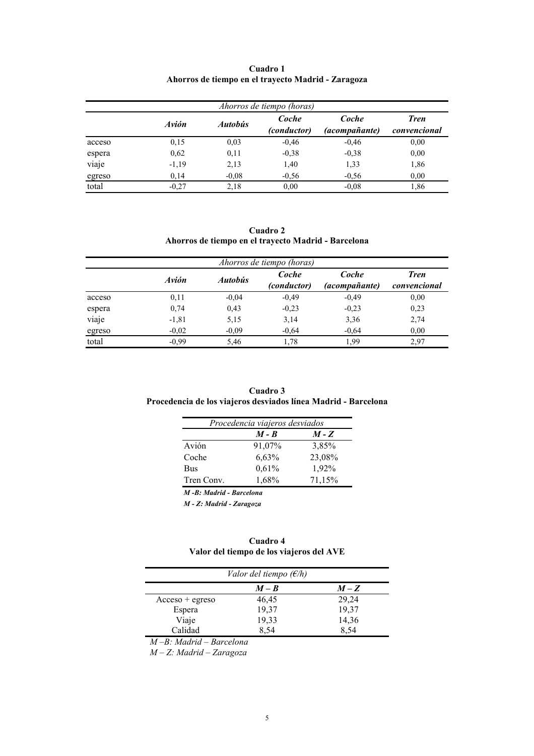| Ahorros de tiempo (horas) |         |                |                      |                        |                             |  |
|---------------------------|---------|----------------|----------------------|------------------------|-----------------------------|--|
|                           | Avión   | <b>Autobus</b> | Coche<br>(conductor) | Coche<br>(acompañante) | <b>Tren</b><br>convencional |  |
| acceso                    | 0,15    | 0.03           | $-0,46$              | $-0.46$                | 0.00                        |  |
| espera                    | 0,62    | 0.11           | $-0,38$              | $-0,38$                | 0.00                        |  |
| viaje                     | $-1,19$ | 2,13           | 1,40                 | 1,33                   | 1,86                        |  |
| egreso                    | 0,14    | $-0.08$        | $-0.56$              | $-0.56$                | 0.00                        |  |
| total                     | $-0.27$ | 2,18           | 0.00                 | $-0.08$                | 1,86                        |  |

#### Cuadro 1 Ahorros de tiempo en el trayecto Madrid - Zaragoza

Cuadro 2 Ahorros de tiempo en el trayecto Madrid - Barcelona

| Ahorros de tiempo (horas) |              |                |                      |                               |                             |  |
|---------------------------|--------------|----------------|----------------------|-------------------------------|-----------------------------|--|
|                           | <b>Avión</b> | <b>Autobús</b> | Coche<br>(conductor) | Coche<br><i>(acompañante)</i> | <b>Tren</b><br>convencional |  |
| acceso                    | 0,11         | $-0.04$        | $-0,49$              | $-0.49$                       | 0,00                        |  |
| espera                    | 0,74         | 0,43           | $-0,23$              | $-0.23$                       | 0,23                        |  |
| viaje                     | $-1,81$      | 5,15           | 3,14                 | 3,36                          | 2,74                        |  |
| egreso                    | $-0.02$      | $-0.09$        | $-0,64$              | $-0.64$                       | 0,00                        |  |
| total                     | $-0.99$      | 5,46           | 1,78                 | 1.99                          | 2,97                        |  |

#### Cuadro 3 Procedencia de los viajeros desviados línea Madrid - Barcelona

| Procedencia viajeros desviados |         |         |  |  |
|--------------------------------|---------|---------|--|--|
|                                | $M - B$ | $M - Z$ |  |  |
| Avión                          | 91,07%  | 3,85%   |  |  |
| Coche                          | 6,63%   | 23,08%  |  |  |
| Bus                            | 0,61%   | 1,92%   |  |  |
| Tren Conv.                     | 1,68%   | 71,15%  |  |  |

M -B: Madrid - Barcelona

M - Z: Madrid - Zaragoza

#### Cuadro 4 Valor del tiempo de los viajeros del AVE

|                     | Valor del tiempo $(E/h)$ |       |
|---------------------|--------------------------|-------|
|                     | $M - B$                  | $M-Z$ |
| $Accesso + egresso$ | 46,45                    | 29,24 |
| Espera              | 19,37                    | 19,37 |
| Viaje               | 19,33                    | 14,36 |
| Calidad             | 8.54                     | 8,54  |

M –B: Madrid – Barcelona

M – Z: Madrid – Zaragoza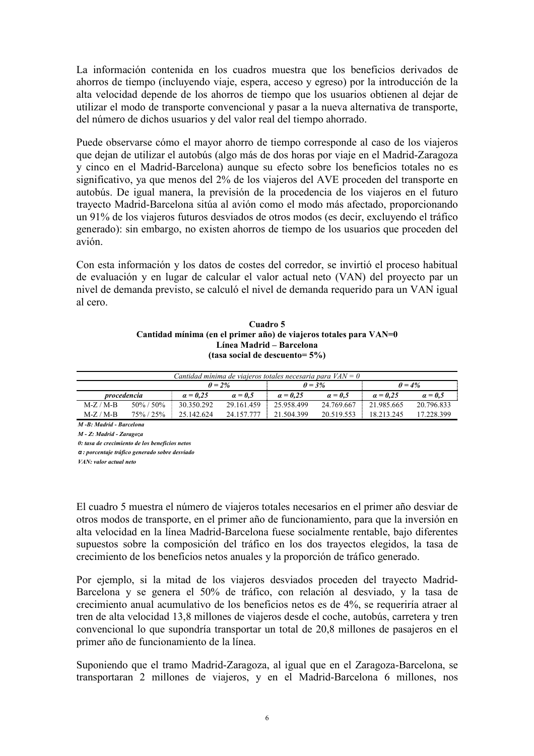La información contenida en los cuadros muestra que los beneficios derivados de ahorros de tiempo (incluyendo viaje, espera, acceso y egreso) por la introducción de la alta velocidad depende de los ahorros de tiempo que los usuarios obtienen al dejar de utilizar el modo de transporte convencional y pasar a la nueva alternativa de transporte, del número de dichos usuarios y del valor real del tiempo ahorrado.

Puede observarse cómo el mayor ahorro de tiempo corresponde al caso de los viajeros que dejan de utilizar el autobús (algo más de dos horas por viaje en el Madrid-Zaragoza y cinco en el Madrid-Barcelona) aunque su efecto sobre los beneficios totales no es significativo, ya que menos del 2% de los viajeros del AVE proceden del transporte en autobús. De igual manera, la previsión de la procedencia de los viajeros en el futuro trayecto Madrid-Barcelona sitúa al avión como el modo más afectado, proporcionando un 91% de los viajeros futuros desviados de otros modos (es decir, excluyendo el tráfico generado): sin embargo, no existen ahorros de tiempo de los usuarios que proceden del avión.

Con esta información y los datos de costes del corredor, se invirtió el proceso habitual de evaluación y en lugar de calcular el valor actual neto (VAN) del proyecto par un nivel de demanda previsto, se calculó el nivel de demanda requerido para un VAN igual al cero.

#### Cuadro 5 Cantidad mínima (en el primer año) de viaieros totales para VAN=0 Línea Madrid - Barcelona (tasa social de descuento= $5\%$ )

| Cantidad mínima de viajeros totales necesaria para $VAN = 0$ |  |                          |                       |            |                       |            |                |
|--------------------------------------------------------------|--|--------------------------|-----------------------|------------|-----------------------|------------|----------------|
| $\theta = 2\%$                                               |  |                          | $\theta = 3\%$        |            | $\theta = 4\%$        |            |                |
| procedencia                                                  |  | $a = 0.25$               | $\alpha = 0.5$        | $a = 0.25$ | $\alpha = 0.5$        | $a = 0.25$ | $\alpha = 0.5$ |
| $M-Z/M-B$                                                    |  | $50\% / 50\%$ 30.350.292 | 29.161.459 25.958.499 |            | 24.769.667 21.985.665 |            | 20.796.833     |
| $M-Z/M-B$                                                    |  | 75\% / 25\% 25.142.624   | 24.157.777 21.504.399 |            | 20.519.553 18.213.245 |            | 17 228 399     |

 $\overline{M}$ - $R$ : Madrid - Barcelona

M - Z: Madrid - Zaragoza

 $\theta$ : tasa de crecimiento de los beneficios netos

 $\alpha$ : porcentaie tráfico generado sobre desviado

VAN: valor actual neto

El cuadro 5 muestra el número de viajeros totales necesarios en el primer año desviar de otros modos de transporte, en el primer año de funcionamiento, para que la inversión en alta velocidad en la línea Madrid-Barcelona fuese socialmente rentable, bajo diferentes supuestos sobre la composición del tráfico en los dos trayectos elegidos, la tasa de crecimiento de los beneficios netos anuales y la proporción de tráfico generado.

Por ejemplo, si la mitad de los viajeros desviados proceden del trayecto Madrid-Barcelona y se genera el 50% de tráfico, con relación al desviado, y la tasa de crecimiento anual acumulativo de los beneficios netos es de 4%, se requeriría atraer al tren de alta velocidad 13,8 millones de viajeros desde el coche, autobús, carretera y tren convencional lo que supondría transportar un total de 20,8 millones de pasajeros en el primer año de funcionamiento de la línea.

Suponiendo que el tramo Madrid-Zaragoza, al igual que en el Zaragoza-Barcelona, se transportaran 2 millones de viajeros, y en el Madrid-Barcelona 6 millones, nos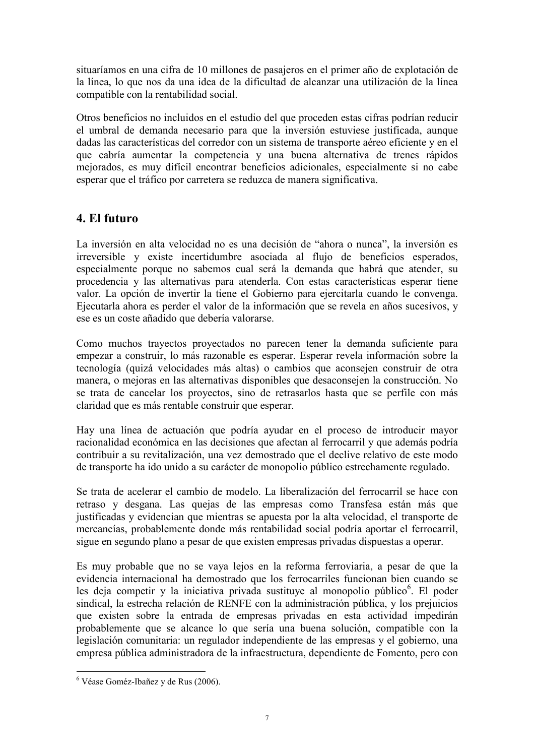situaríamos en una cifra de 10 millones de pasajeros en el primer año de explotación de la línea, lo que nos da una idea de la dificultad de alcanzar una utilización de la línea compatible con la rentabilidad social.

Otros beneficios no incluidos en el estudio del que proceden estas cifras podrían reducir el umbral de demanda necesario para que la inversión estuviese justificada, aunque dadas las características del corredor con un sistema de transporte aéreo eficiente y en el que cabría aumentar la competencia y una buena alternativa de trenes rápidos mejorados, es muy difícil encontrar beneficios adicionales, especialmente si no cabe esperar que el tráfico por carretera se reduzca de manera significativa.

# 4. El futuro

La inversión en alta velocidad no es una decisión de "ahora o nunca", la inversión es irreversible y existe incertidumbre asociada al flujo de beneficios esperados, especialmente porque no sabemos cual será la demanda que habrá que atender, su procedencia y las alternativas para atenderla. Con estas características esperar tiene valor. La opción de invertir la tiene el Gobierno para ejercitarla cuando le convenga. Ejecutarla ahora es perder el valor de la información que se revela en años sucesivos, y ese es un coste añadido que debería valorarse.

Como muchos trayectos proyectados no parecen tener la demanda suficiente para empezar a construir, lo más razonable es esperar. Esperar revela información sobre la tecnología (quizá velocidades más altas) o cambios que aconsejen construir de otra manera, o mejoras en las alternativas disponibles que desaconsejen la construcción. No se trata de cancelar los provectos, sino de retrasarlos hasta que se perfile con más claridad que es más rentable construir que esperar.

Hay una línea de actuación que podría ayudar en el proceso de introducir mayor racionalidad económica en las decisiones que afectan al ferrocarril y que además podría contribuir a su revitalización, una vez demostrado que el declive relativo de este modo de transporte ha ido unido a su carácter de monopolio público estrechamente regulado.

Se trata de acelerar el cambio de modelo. La liberalización del ferrocarril se hace con retraso y desgana. Las quejas de las empresas como Transfesa están más que justificadas y evidencian que mientras se apuesta por la alta velocidad, el transporte de mercancías, probablemente donde más rentabilidad social podría aportar el ferrocarril, sigue en segundo plano a pesar de que existen empresas privadas dispuestas a operar.

Es muy probable que no se vava lejos en la reforma ferroviaria, a pesar de que la evidencia internacional ha demostrado que los ferrocarriles funcionan bien cuando se les deja competir y la iniciativa privada sustituye al monopolio público<sup>6</sup>. El poder sindical, la estrecha relación de RENFE con la administración pública, y los prejuicios que existen sobre la entrada de empresas privadas en esta actividad impedirán probablemente que se alcance lo que sería una buena solución, compatible con la legislación comunitaria: un regulador independiente de las empresas y el gobierno, una empresa pública administradora de la infraestructura, dependiente de Fomento, pero con

<sup>&</sup>lt;sup>6</sup> Véase Goméz-Ibañez y de Rus (2006).